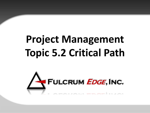# **Project Management Topic 5.2 Critical Path**

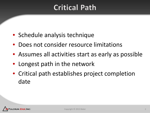# **Critical Path**

- Schedule analysis technique
- Does not consider resource limitations
- Assumes all activities start as early as possible
- Longest path in the network
- Critical path establishes project completion date

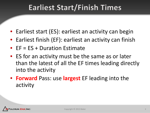# **Earliest Start/Finish Times**

- Earliest start (ES): earliest an activity can begin
- Earliest finish (EF): earliest an activity can finish
- EF = ES + Duration Estimate
- ES for an activity must be the same as or later than the latest of all the EF times leading directly into the activity
- **Forward** Pass: use **largest** EF leading into the activity

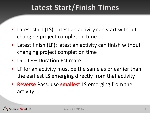# Latest Start/Finish Times

- Latest start (LS): latest an activity can start without changing project completion time
- Latest finish (LF): latest an activity can finish without changing project completion time
- LS = LF Duration Estimate
- LF for an activity must be the same as or earlier than the earliest LS emerging directly from that activity
- **Reverse** Pass: use **smallest** LS emerging from the activity

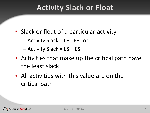# **Activity Slack or Float**

- Slack or float of a particular activity
	- Activity Slack = LF EF or
	- Activity Slack = LS ES
- Activities that make up the critical path have the least slack
- All activities with this value are on the critical path

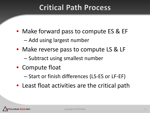# **Critical Path Process**

- Make forward pass to compute ES & EF
	- Add using largest number
- Make reverse pass to compute LS & LF
	- Subtract using smallest number
- Compute float
	- Start or finish differences (LS-ES or LF-EF)
- Least float activities are the critical path

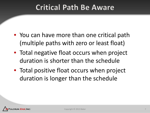### **Critical Path Be Aware**

- You can have more than one critical path (multiple paths with zero or least float)
- Total negative float occurs when project duration is shorter than the schedule
- Total positive float occurs when project duration is longer than the schedule

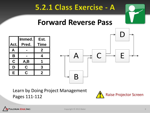

Learn by Doing Project Management Pages 111-112



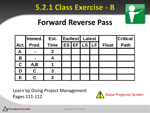

#### **Forward Reverse Pass**

|             | Immed.         | Est.         | <b>Earliest</b> Latest |  |                    |  |              | <b>Critical</b> |
|-------------|----------------|--------------|------------------------|--|--------------------|--|--------------|-----------------|
| Act.        | Pred.          | <b>Time</b>  |                        |  | <b>ES EFILS LF</b> |  | <b>Float</b> | <b>Path</b>     |
| $\mathbf A$ | $\blacksquare$ | 2            |                        |  |                    |  |              |                 |
| B           |                |              |                        |  |                    |  |              |                 |
| $\mathbf C$ | A,B            |              |                        |  |                    |  |              |                 |
| D           | C              | $\mathbf{3}$ |                        |  |                    |  |              |                 |
| E.          |                |              |                        |  |                    |  |              |                 |

Learn by Doing Project Management Pages 111-112 Pages 111-112



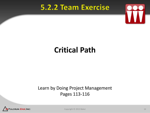#### 5.2.2 Team Exercise



# **Critical Path**

#### Learn by Doing Project Management Pages 113-116



Copyright © 2013 Baker